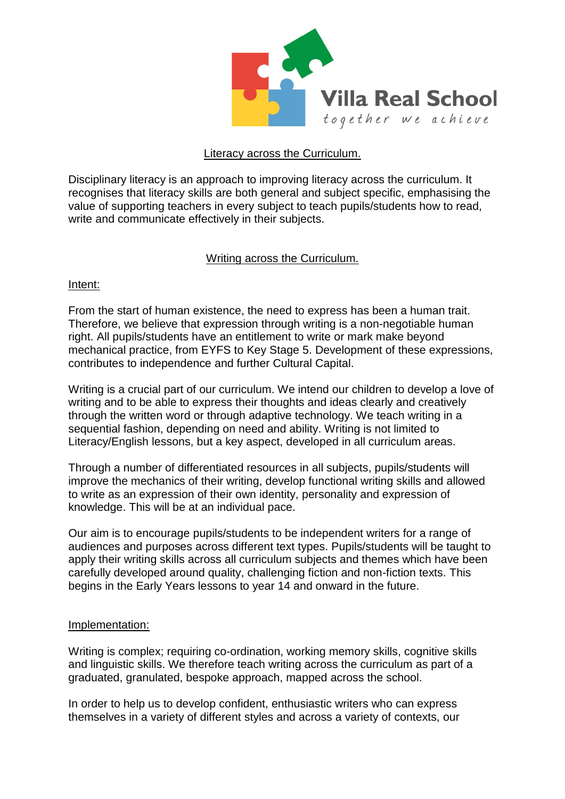

## Literacy across the Curriculum.

Disciplinary literacy is an approach to improving literacy across the curriculum. It recognises that literacy skills are both general and subject specific, emphasising the value of supporting teachers in every subject to teach pupils/students how to read, write and communicate effectively in their subjects.

## Writing across the Curriculum.

## Intent:

From the start of human existence, the need to express has been a human trait. Therefore, we believe that expression through writing is a non-negotiable human right. All pupils/students have an entitlement to write or mark make beyond mechanical practice, from EYFS to Key Stage 5. Development of these expressions, contributes to independence and further Cultural Capital.

Writing is a crucial part of our curriculum. We intend our children to develop a love of writing and to be able to express their thoughts and ideas clearly and creatively through the written word or through adaptive technology. We teach writing in a sequential fashion, depending on need and ability. Writing is not limited to Literacy/English lessons, but a key aspect, developed in all curriculum areas.

Through a number of differentiated resources in all subjects, pupils/students will improve the mechanics of their writing, develop functional writing skills and allowed to write as an expression of their own identity, personality and expression of knowledge. This will be at an individual pace.

Our aim is to encourage pupils/students to be independent writers for a range of audiences and purposes across different text types. Pupils/students will be taught to apply their writing skills across all curriculum subjects and themes which have been carefully developed around quality, challenging fiction and non-fiction texts. This begins in the Early Years lessons to year 14 and onward in the future.

#### Implementation:

Writing is complex; requiring co-ordination, working memory skills, cognitive skills and linguistic skills. We therefore teach writing across the curriculum as part of a graduated, granulated, bespoke approach, mapped across the school.

In order to help us to develop confident, enthusiastic writers who can express themselves in a variety of different styles and across a variety of contexts, our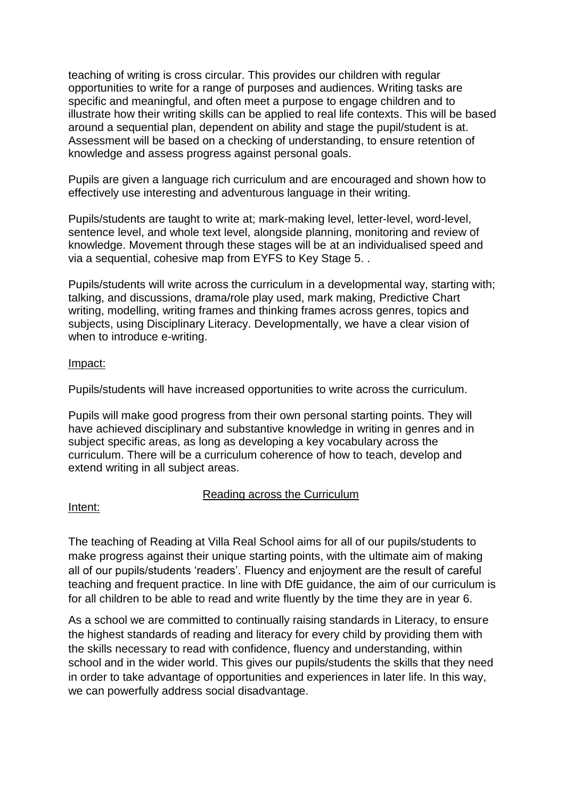teaching of writing is cross circular. This provides our children with regular opportunities to write for a range of purposes and audiences. Writing tasks are specific and meaningful, and often meet a purpose to engage children and to illustrate how their writing skills can be applied to real life contexts. This will be based around a sequential plan, dependent on ability and stage the pupil/student is at. Assessment will be based on a checking of understanding, to ensure retention of knowledge and assess progress against personal goals.

Pupils are given a language rich curriculum and are encouraged and shown how to effectively use interesting and adventurous language in their writing.

Pupils/students are taught to write at; mark-making level, letter-level, word-level, sentence level, and whole text level, alongside planning, monitoring and review of knowledge. Movement through these stages will be at an individualised speed and via a sequential, cohesive map from EYFS to Key Stage 5. .

Pupils/students will write across the curriculum in a developmental way, starting with; talking, and discussions, drama/role play used, mark making, Predictive Chart writing, modelling, writing frames and thinking frames across genres, topics and subjects, using Disciplinary Literacy. Developmentally, we have a clear vision of when to introduce e-writing.

## Impact:

Pupils/students will have increased opportunities to write across the curriculum.

Pupils will make good progress from their own personal starting points. They will have achieved disciplinary and substantive knowledge in writing in genres and in subject specific areas, as long as developing a key vocabulary across the curriculum. There will be a curriculum coherence of how to teach, develop and extend writing in all subject areas.

# Reading across the Curriculum

## Intent:

The teaching of Reading at Villa Real School aims for all of our pupils/students to make progress against their unique starting points, with the ultimate aim of making all of our pupils/students 'readers'. Fluency and enjoyment are the result of careful teaching and frequent practice. In line with DfE guidance, the aim of our curriculum is for all children to be able to read and write fluently by the time they are in year 6.

As a school we are committed to continually raising standards in Literacy, to ensure the highest standards of reading and literacy for every child by providing them with the skills necessary to read with confidence, fluency and understanding, within school and in the wider world. This gives our pupils/students the skills that they need in order to take advantage of opportunities and experiences in later life. In this way, we can powerfully address social disadvantage.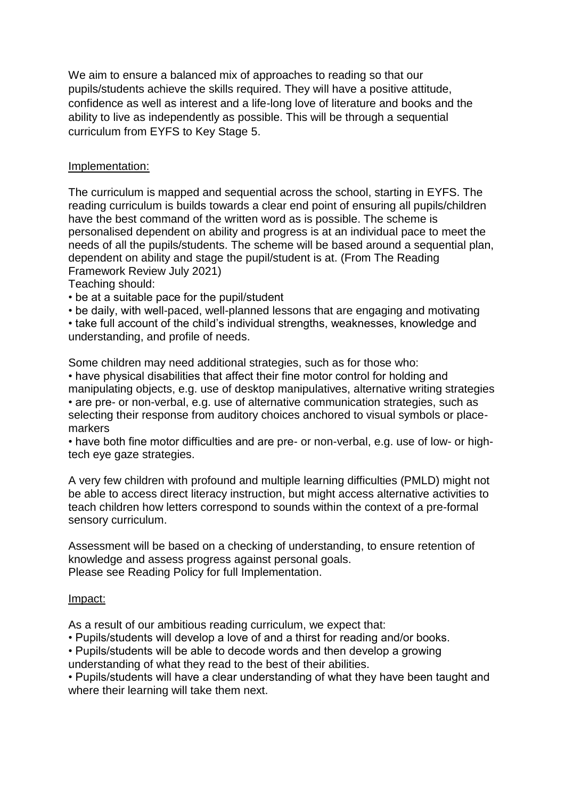We aim to ensure a balanced mix of approaches to reading so that our pupils/students achieve the skills required. They will have a positive attitude, confidence as well as interest and a life-long love of literature and books and the ability to live as independently as possible. This will be through a sequential curriculum from EYFS to Key Stage 5.

## Implementation:

The curriculum is mapped and sequential across the school, starting in EYFS. The reading curriculum is builds towards a clear end point of ensuring all pupils/children have the best command of the written word as is possible. The scheme is personalised dependent on ability and progress is at an individual pace to meet the needs of all the pupils/students. The scheme will be based around a sequential plan, dependent on ability and stage the pupil/student is at. (From The Reading Framework Review July 2021)

Teaching should:

• be at a suitable pace for the pupil/student

• be daily, with well-paced, well-planned lessons that are engaging and motivating

• take full account of the child's individual strengths, weaknesses, knowledge and understanding, and profile of needs.

Some children may need additional strategies, such as for those who:

• have physical disabilities that affect their fine motor control for holding and manipulating objects, e.g. use of desktop manipulatives, alternative writing strategies • are pre- or non-verbal, e.g. use of alternative communication strategies, such as selecting their response from auditory choices anchored to visual symbols or placemarkers

• have both fine motor difficulties and are pre- or non-verbal, e.g. use of low- or hightech eye gaze strategies.

A very few children with profound and multiple learning difficulties (PMLD) might not be able to access direct literacy instruction, but might access alternative activities to teach children how letters correspond to sounds within the context of a pre-formal sensory curriculum.

Assessment will be based on a checking of understanding, to ensure retention of knowledge and assess progress against personal goals. Please see Reading Policy for full Implementation.

#### Impact:

As a result of our ambitious reading curriculum, we expect that:

• Pupils/students will develop a love of and a thirst for reading and/or books.

• Pupils/students will be able to decode words and then develop a growing

understanding of what they read to the best of their abilities.

• Pupils/students will have a clear understanding of what they have been taught and where their learning will take them next.